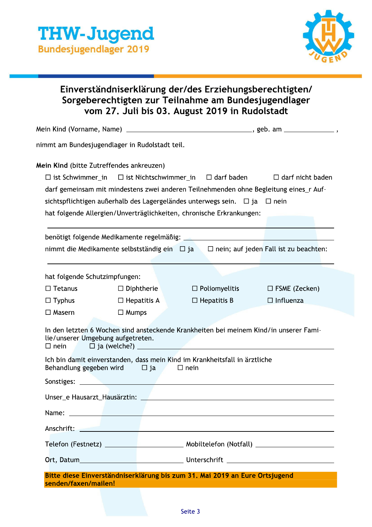

## Einverstandniserklarung der/des Erzienungsberechtigten/ Sorgeberechtigten zur Teilnahme am Bundesjugendlager vom 27. Juli bis 03. August 2019 in Rudolstadt

| <b>THW-Jugend</b><br><b>Bundesjugendlager 2019</b>                                |                                                         |                                                                                                                                                                                                                                                                                                                                |                                          |  |
|-----------------------------------------------------------------------------------|---------------------------------------------------------|--------------------------------------------------------------------------------------------------------------------------------------------------------------------------------------------------------------------------------------------------------------------------------------------------------------------------------|------------------------------------------|--|
|                                                                                   |                                                         | Einverständniserklärung der/des Erziehungsberechtigten/<br>Sorgeberechtigten zur Teilnahme am Bundesjugendlager<br>vom 27. Juli bis 03. August 2019 in Rudolstadt                                                                                                                                                              |                                          |  |
|                                                                                   |                                                         |                                                                                                                                                                                                                                                                                                                                |                                          |  |
|                                                                                   | nimmt am Bundesjugendlager in Rudolstadt teil.          |                                                                                                                                                                                                                                                                                                                                |                                          |  |
|                                                                                   | Mein Kind (bitte Zutreffendes ankreuzen)                | $\Box$ ist Schwimmer_in $\Box$ ist Nichtschwimmer_in $\Box$ darf baden<br>darf gemeinsam mit mindestens zwei anderen Teilnehmenden ohne Begleitung eines_r Auf-<br>sichtspflichtigen außerhalb des Lagergeländes unterwegs sein. $\Box$ ja $\Box$ nein<br>hat folgende Allergien/Unverträglichkeiten, chronische Erkrankungen: | $\Box$ darf nicht baden                  |  |
|                                                                                   |                                                         |                                                                                                                                                                                                                                                                                                                                |                                          |  |
|                                                                                   |                                                         | nimmt die Medikamente selbstständig ein $\Box$ ja $\Box$ nein; auf jeden Fall ist zu beachten:                                                                                                                                                                                                                                 |                                          |  |
| hat folgende Schutzimpfungen:<br>$\Box$ Tetanus<br>$\Box$ Typhus<br>$\Box$ Masern | $\Box$ Diphtherie<br>$\Box$ Hepatitis A<br>$\Box$ Mumps | $\Box$ Poliomyelitis<br>$\Box$ Hepatitis B                                                                                                                                                                                                                                                                                     | $\Box$ FSME (Zecken)<br>$\Box$ Influenza |  |
| lie/unserer Umgebung aufgetreten.                                                 |                                                         | In den letzten 6 Wochen sind ansteckende Krankheiten bei meinem Kind/in unserer Fami-                                                                                                                                                                                                                                          |                                          |  |
|                                                                                   | Behandlung gegeben wird $\Box$ ja $\Box$ nein           | Ich bin damit einverstanden, dass mein Kind im Krankheitsfall in ärztliche                                                                                                                                                                                                                                                     |                                          |  |
|                                                                                   |                                                         |                                                                                                                                                                                                                                                                                                                                |                                          |  |
|                                                                                   |                                                         |                                                                                                                                                                                                                                                                                                                                |                                          |  |
|                                                                                   |                                                         |                                                                                                                                                                                                                                                                                                                                |                                          |  |
|                                                                                   |                                                         | Anschrift: <u>Anschrift: Anschrift: Anschrift: Anschrift: Anschrift: Anschrift: Anschrift: Anschrift: Anschrift: Anschrift: Anschrift: Anschrift: Anschrift: Anschrift: Anschrift: Anschrift: Anschrift: Anschrift: Anschrift: A</u>                                                                                           |                                          |  |
|                                                                                   |                                                         |                                                                                                                                                                                                                                                                                                                                |                                          |  |
|                                                                                   |                                                         |                                                                                                                                                                                                                                                                                                                                |                                          |  |
| senden/faxen/mailen!                                                              |                                                         | Bitte diese Einverständniserklärung bis zum 31. Mai 2019 an Eure Ortsjugend                                                                                                                                                                                                                                                    |                                          |  |
|                                                                                   |                                                         | Seite 3                                                                                                                                                                                                                                                                                                                        |                                          |  |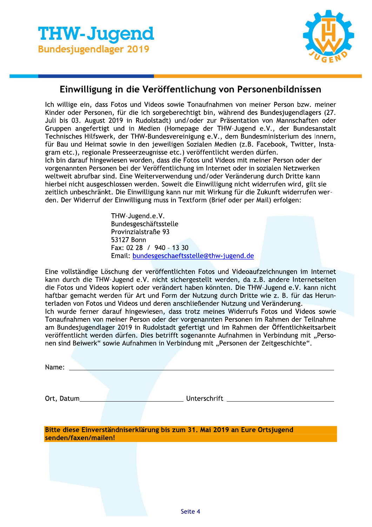

### Einwilligung in die Veröffentlichung von Personenbildnissen

Ich willige ein, dass Fotos und Videos sowie Tonaufnahmen von meiner Person bzw. meiner Kinder oder Personen, für die ich sorgeberechtigt bin, während des Bundesjugendlagers (27. Juli bis 03. August 2019 in Rudolstadt) und/oder zur Präsentation von Mannschaften oder Gruppen angefertigt und in Medien (Homepage der THW-Jugend e.V., der Bundesanstalt Technisches Hilfswerk, der THW-Bundesvereinigung e.V., dem Bundesministerium des Innern, für Bau und Heimat sowie in den jeweiligen Sozialen Medien (z.B. Facebook, Twitter, Instagram etc.), regionale Presseerzeugnisse etc.) veröffentlicht werden dürfen. Ich bin darauf hingewiesen worden, dass die Fotos und Videos mit meiner Person oder der vorgenannten Personen bei der Veröffentlichung im Internet oder in sozialen Netzwerken weltweit abrufbar sind. Eine Weiterverwendung und/oder Veränderung durch Dritte kann hierbei nicht ausgeschlossen werden. Soweit die Einwilligung nicht widerrufen wird, gilt sie zeitlich unbeschränkt. Die Einwilligung kann nur mit Wirkung für die Zukunft widerrufen werden. Der Widerruf der Einwilligung muss in Textform (Brief oder per Mail) erfolgen:

> THW-Jugend.e.V. Bundesgeschäftsstelle Provinzialstraße 93 53127 Bonn Fax: 02 28 / 940 - 13 30 Email: bundesgeschaeftsstelle@thw-jugend.de

Eine vollständige Löschung der veröffentlichten Fotos und Videoaufzeichnungen im Internet kann durch die THW-Jugend e.V. nicht sichergestellt werden, da z.B. andere Internetseiten die Fotos und Videos kopiert oder verändert haben könnten. Die THW-Jugend e.V. kann nicht haftbar gemacht werden für Art und Form der Nutzung durch Dritte wie z. B. für das Herunterladen von Fotos und Videos und deren anschließender Nutzung und Veränderung. Ich wurde ferner darauf hingewiesen, dass trotz meines Widerrufs Fotos und Videos sowie Tonaufnahmen von meiner Person oder der vorgenannten Personen im Rahmen der Teilnahme am Bundesjugendlager 2019 in Rudolstadt gefertigt und im Rahmen der Öffentlichkeitsarbeit veröffentlicht werden dürfen. Dies betrifft sogenannte Aufnahmen in Verbindung mit "Personen sind Beiwerk" sowie Aufnahmen in Verbindung mit "Personen der Zeitgeschichte".

| Name:                |              |                                                                             |  |
|----------------------|--------------|-----------------------------------------------------------------------------|--|
| Ort, Datum_          | Unterschrift |                                                                             |  |
| senden/faxen/mailen! |              | Bitte diese Einverständniserklärung bis zum 31. Mai 2019 an Eure Ortsjugend |  |
|                      |              |                                                                             |  |
|                      |              |                                                                             |  |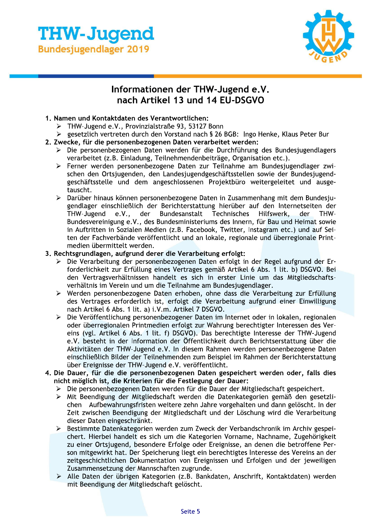

# **Information**

- 1. Namen und Kontaktdaten des Verantwortlichen:
	- $\triangleright$  THW-Jugend e.v., Provinzialstrabe 93, 53127 Bonn
	- > gesetztich vertreten durch den vorstand hach s z6 BGB: ingo Henke, Klaus Peter Bur<br>-

#### Z. Zwecke, fur die personenbezogenen Daten verarbeitet werden:

- > Die personenbezogenen Daten werden für die Durchfunrung des Bundesjugendlagers verarbeitet (z.B. Einladung, Teilnehmendenbeitrage, Organisation etc.).<br>\_
- **THW-Juggendlager 2019**<br>
Informationen der THW-Jugend e.V.<br>
Informationen der THW-Jugend e.V.<br>
nach Artikel 13 und 14 EU-DSGVO<br>
1. Namen und Kontaktdaten des Verantwortlichen:<br>
> THW-Jugend e.V., Provinzialstraße 93, 53127  $\triangleright$  Ferner werden personenbezogene Daten zur Teilnahme am Bundesjugendlager zwischen den Ortsjugenden, den Landesjugendgeschaftsstellen sowie der Bundesjugendgeschaftsstelle und dem angeschlossenen Projektburo weitergeleitet und ausgetauscht.
	- $\triangleright$  Daruber hinaus konnen personenbezogene Daten in Zusammenhang mit dem Bundesjugendlager einschlieblich der Berichterstattung nieruber auf den internetseiten der THW-Jugend nd e.v., der Bundesanstalt Technisches Hilfswerk, der THWr Bundesanstalt Tec Technisches Hilfswerk, Bundesvereinigung e.v., des Bundesministeriums des innern, für Bau und Heimat sowie in Auftritten in Sozialen Medien (z.B. Facebook, Twitter, Instagram etc.) und auf Seiten der Fachverbande veröffentlicht und an lokale, regionale und überregionale Print $m$ edien übermittelt werden.

#### 3. Rechtsgrundlagen, aufgrund derer die Verarbeitung erfolgt:

- $\triangleright$  Die Verarbeitung der personenbezogenen Daten erfolgt in der Regel aufgrund der Erforderlichkeit zur Erfullung eines Verträges gemaß Artikel 6 Abs. 1 lit. D) DSGVO. Bei $\sim$ den vertragsverhaltnissen handelt es sich in erster Linie um das Mitgliedschaftsvernattnis im Verein und um die Teithanme am Bundesjugendlager.
- $\triangleright$  werden personenbezogene Daten ernoben, onne dass die Verarbeitung zur Erfullung des vertrages erforderlich ist, erfolgt die verarbeitung aufgrund einer Einwilligung 8BLMn>S-COn\_D:HC:Bi:;:f:n>S-CJ]P;h:
- $\triangleright$  Die veroffentlichung personenbezogener Daten im internet oder in lokalen, regionalen oder überregionalen Printmedien erfolgt zur wahrung berechtigter interessen des vereins (vgl. Artikel 6 Abs. 1 lit. 1) DSGVO). Das berechtigte interesse der THW-Jugend e.v. bestent in der information der Uffentlichkeit durch Berichtserstattung über die Aktivitaten der THW-Jugend e.V. In diesem Rahmen werden personenbezogene Daten einschlieblich Bilder der Teilnehmenden zum Beispiel im Rahmen der Berichterstattung uber Ereignisse der THW-Jugend e.V. Veroffentlicht.<br>-
- 4. Die Dauer, für die die personenbezogenen Daten gespeichert werden oder, falls dies nicht möglich ist, die Kriterien für die Festlegung der Dauer:
	- $\triangleright$  Die personenbezogenen Daten werden für die Dauer der Mitgliedschaft gespeichert.
	- $\triangleright$  Mit Beendigung der Mitgliedschaft werden die Datenkategorien gemaß den gesetzlichen – Aufbewahrungsfristen weitere zehn Jahre vorgenalten und dann gelöscht. In der Ei Zeit zwischen Beendigung der Mitgliedschaft und der Loschung wird die Verarbeitung dieser Daten eingeschrankt.<br>-
	- > Bestimmte Datenkategorien werden zum Zweck der Verbandschronik im Archiv gespeichert. Hierbei handelt es sich um die Kategorien vorname, Nachname, Zugenorigkeit zu einer Urtsjugend, besondere Erfolge oder Ereignisse, an denen die betroffene Person mitgewirkt hat. Der Speicherung liegt ein berechtigtes interesse des Vereins an der zeitgeschichtlichen Dokumentation von Ereignissen und Erfolgen und der Jeweiligen<br>– zusammensetzung der Mannschaften zugrunde. :
	- $\triangleright$  Alle Daten der ubrigen Kategorien (z.B. Bankdaten, Anschrift, Kontaktdaten) werden mit Beendigung der Mitgliedschaft gelöscht.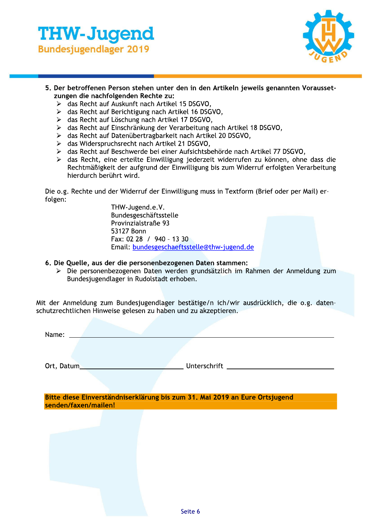



- 5. Der betroffenen Person stehen unter den in den Artikeln jeweils genannten Voraussetzungen die nachfolgenden Rechte zu:
	- > das Recht auf Auskunft nach Artikel 15 DSGVO.
	- $\triangleright$  das Recht auf Berichtigung nach Artikel 16 DSGVO,
	- > das Recht auf Löschung nach Artikel 17 DSGVO,
	- > das Recht auf Einschränkung der Verarbeitung nach Artikel 18 DSGVO,
	- > das Recht auf Datenübertragbarkeit nach Artikel 20 DSGVO,
	- > das Widerspruchsrecht nach Artikel 21 DSGVO,
	- > das Recht auf Beschwerde bei einer Aufsichtsbehörde nach Artikel 77 DSGVO,
	- > das Recht, eine erteilte Einwilligung jederzeit widerrufen zu können, ohne dass die Rechtmäßigkeit der aufgrund der Einwilligung bis zum Widerruf erfolgten Verarbeitung hierdurch berührt wird.

Die o.g. Rechte und der Widerruf der Einwilligung muss in Textform (Brief oder per Mail) erfolgen:

THW-Jugend.e.V. Bundesgeschäftsstelle Provinzialstraße 93 53127 Bonn Fax: 02 28 / 940 - 13 30 Email: bundesgeschaeftsstelle@thw-jugend.de

- 6. Die Quelle, aus der die personenbezogenen Daten stammen:
	- > Die personenbezogenen Daten werden grundsätzlich im Rahmen der Anmeldung zum Bundesjugendlager in Rudolstadt erhoben.

Mit der Anmeldung zum Bundesjugendlager bestätige/n ich/wir ausdrücklich, die o.g. datenschutzrechtlichen Hinweise gelesen zu haben und zu akzeptieren.

Name:

Ort, Datum\_

**Example 2018** Unterschrift <u>\_\_\_\_\_\_\_\_\_\_\_\_\_\_\_\_\_\_\_\_\_\_\_\_\_\_\_\_\_\_\_\_\_\_\_</u>

Bitte diese Einverständniserklärung bis zum 31. Mai 2019 an Eure Ortsjugend senden/faxen/mailen!